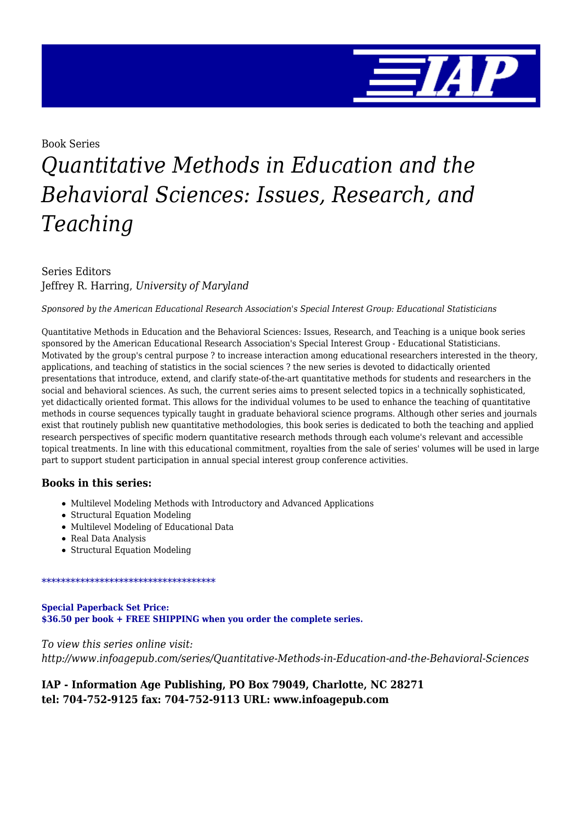

Book Series

# *Quantitative Methods in Education and the Behavioral Sciences: Issues, Research, and Teaching*

Series Editors Jeffrey R. Harring, *University of Maryland*

*Sponsored by the American Educational Research Association's Special Interest Group: Educational Statisticians*

Quantitative Methods in Education and the Behavioral Sciences: Issues, Research, and Teaching is a unique book series sponsored by the American Educational Research Association's Special Interest Group - Educational Statisticians. Motivated by the group's central purpose ? to increase interaction among educational researchers interested in the theory, applications, and teaching of statistics in the social sciences ? the new series is devoted to didactically oriented presentations that introduce, extend, and clarify state-of-the-art quantitative methods for students and researchers in the social and behavioral sciences. As such, the current series aims to present selected topics in a technically sophisticated, yet didactically oriented format. This allows for the individual volumes to be used to enhance the teaching of quantitative methods in course sequences typically taught in graduate behavioral science programs. Although other series and journals exist that routinely publish new quantitative methodologies, this book series is dedicated to both the teaching and applied research perspectives of specific modern quantitative research methods through each volume's relevant and accessible topical treatments. In line with this educational commitment, royalties from the sale of series' volumes will be used in large part to support student participation in annual special interest group conference activities.

#### **Books in this series:**

- Multilevel Modeling Methods with Introductory and Advanced Applications
- Structural Equation Modeling
- Multilevel Modeling of Educational Data
- Real Data Analysis
- Structural Equation Modeling

#### \*\*\*\*\*\*\*\*\*\*\*\*\*\*\*\*\*\*\*\*\*\*\*\*\*\*\*\*\*\*\*\*\*\*\*\*

**Special Paperback Set Price: \$36.50 per book + FREE SHIPPING when you order the complete series.**

*To view this series online visit: http://www.infoagepub.com/series/Quantitative-Methods-in-Education-and-the-Behavioral-Sciences*

#### **IAP - Information Age Publishing, PO Box 79049, Charlotte, NC 28271 tel: 704-752-9125 fax: 704-752-9113 URL: www.infoagepub.com**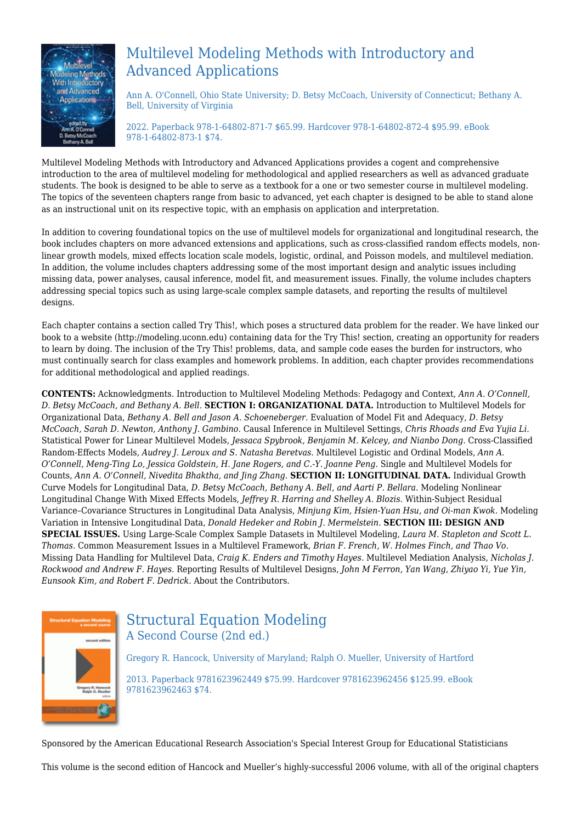

# Multilevel Modeling Methods with Introductory and Advanced Applications

Ann A. O'Connell, Ohio State University; D. Betsy McCoach, University of Connecticut; Bethany A. Bell, University of Virginia

2022. Paperback 978-1-64802-871-7 \$65.99. Hardcover 978-1-64802-872-4 \$95.99. eBook 978-1-64802-873-1 \$74.

Multilevel Modeling Methods with Introductory and Advanced Applications provides a cogent and comprehensive introduction to the area of multilevel modeling for methodological and applied researchers as well as advanced graduate students. The book is designed to be able to serve as a textbook for a one or two semester course in multilevel modeling. The topics of the seventeen chapters range from basic to advanced, yet each chapter is designed to be able to stand alone as an instructional unit on its respective topic, with an emphasis on application and interpretation.

In addition to covering foundational topics on the use of multilevel models for organizational and longitudinal research, the book includes chapters on more advanced extensions and applications, such as cross-classified random effects models, nonlinear growth models, mixed effects location scale models, logistic, ordinal, and Poisson models, and multilevel mediation. In addition, the volume includes chapters addressing some of the most important design and analytic issues including missing data, power analyses, causal inference, model fit, and measurement issues. Finally, the volume includes chapters addressing special topics such as using large-scale complex sample datasets, and reporting the results of multilevel designs.

Each chapter contains a section called Try This!, which poses a structured data problem for the reader. We have linked our book to a website (http://modeling.uconn.edu) containing data for the Try This! section, creating an opportunity for readers to learn by doing. The inclusion of the Try This! problems, data, and sample code eases the burden for instructors, who must continually search for class examples and homework problems. In addition, each chapter provides recommendations for additional methodological and applied readings.

**CONTENTS:** Acknowledgments. Introduction to Multilevel Modeling Methods: Pedagogy and Context, *Ann A. O'Connell, D. Betsy McCoach, and Bethany A. Bell.* **SECTION I: ORGANIZATIONAL DATA.** Introduction to Multilevel Models for Organizational Data, *Bethany A. Bell and Jason A. Schoeneberger.* Evaluation of Model Fit and Adequacy, *D. Betsy McCoach, Sarah D. Newton, Anthony J. Gambino.* Causal Inference in Multilevel Settings, *Chris Rhoads and Eva Yujia Li.* Statistical Power for Linear Multilevel Models, *Jessaca Spybrook, Benjamin M. Kelcey, and Nianbo Dong.* Cross-Classified Random-Effects Models, *Audrey J. Leroux and S. Natasha Beretvas.* Multilevel Logistic and Ordinal Models, *Ann A. O'Connell, Meng-Ting Lo, Jessica Goldstein, H. Jane Rogers, and C.-Y. Joanne Peng.* Single and Multilevel Models for Counts, *Ann A. O'Connell, Nivedita Bhaktha, and Jing Zhang.* **SECTION II: LONGITUDINAL DATA.** Individual Growth Curve Models for Longitudinal Data, *D. Betsy McCoach, Bethany A. Bell, and Aarti P. Bellara.* Modeling Nonlinear Longitudinal Change With Mixed Effects Models, *Jeffrey R. Harring and Shelley A. Blozis.* Within-Subject Residual Variance–Covariance Structures in Longitudinal Data Analysis, *Minjung Kim, Hsien-Yuan Hsu, and Oi-man Kwok.* Modeling Variation in Intensive Longitudinal Data, *Donald Hedeker and Robin J. Mermelstein.* **SECTION III: DESIGN AND SPECIAL ISSUES.** Using Large-Scale Complex Sample Datasets in Multilevel Modeling, *Laura M. Stapleton and Scott L. Thomas.* Common Measurement Issues in a Multilevel Framework, *Brian F. French, W. Holmes Finch, and Thao Vo.* Missing Data Handling for Multilevel Data, *Craig K. Enders and Timothy Hayes.* Multilevel Mediation Analysis, *Nicholas J. Rockwood and Andrew F. Hayes.* Reporting Results of Multilevel Designs, *John M Ferron, Yan Wang, Zhiyao Yi, Yue Yin, Eunsook Kim, and Robert F. Dedrick.* About the Contributors.



### Structural Equation Modeling A Second Course (2nd ed.)

Gregory R. Hancock, University of Maryland; Ralph O. Mueller, University of Hartford 2013. Paperback 9781623962449 \$75.99. Hardcover 9781623962456 \$125.99. eBook 9781623962463 \$74.

Sponsored by the American Educational Research Association's Special Interest Group for Educational Statisticians

This volume is the second edition of Hancock and Mueller's highly-successful 2006 volume, with all of the original chapters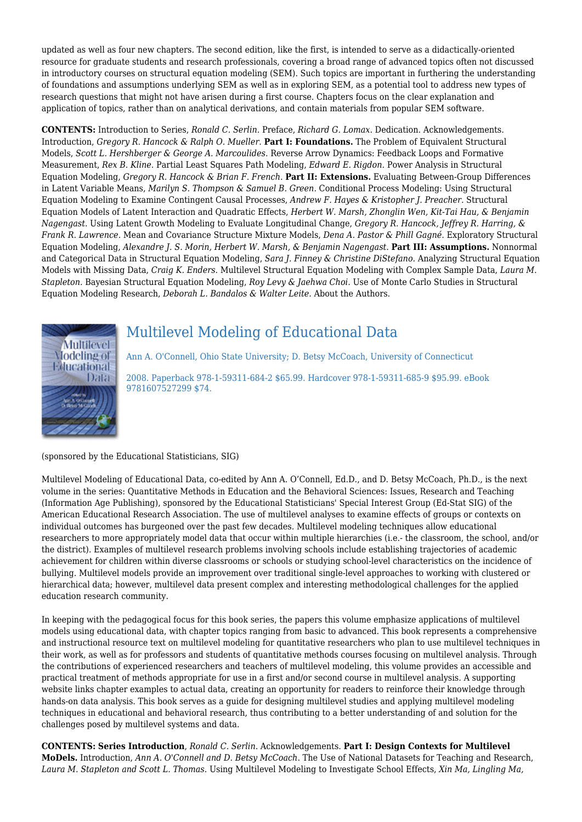updated as well as four new chapters. The second edition, like the first, is intended to serve as a didactically-oriented resource for graduate students and research professionals, covering a broad range of advanced topics often not discussed in introductory courses on structural equation modeling (SEM). Such topics are important in furthering the understanding of foundations and assumptions underlying SEM as well as in exploring SEM, as a potential tool to address new types of research questions that might not have arisen during a first course. Chapters focus on the clear explanation and application of topics, rather than on analytical derivations, and contain materials from popular SEM software.

**CONTENTS:** Introduction to Series, *Ronald C. Serlin.* Preface, *Richard G. Lomax.* Dedication. Acknowledgements. Introduction, *Gregory R. Hancock & Ralph O. Mueller.* **Part I: Foundations.** The Problem of Equivalent Structural Models, *Scott L. Hershberger & George A. Marcoulides.* Reverse Arrow Dynamics: Feedback Loops and Formative Measurement, *Rex B. Kline.* Partial Least Squares Path Modeling, *Edward E. Rigdon.* Power Analysis in Structural Equation Modeling, *Gregory R. Hancock & Brian F. French.* **Part II: Extensions.** Evaluating Between-Group Differences in Latent Variable Means, *Marilyn S. Thompson & Samuel B. Green.* Conditional Process Modeling: Using Structural Equation Modeling to Examine Contingent Causal Processes, *Andrew F. Hayes & Kristopher J. Preacher.* Structural Equation Models of Latent Interaction and Quadratic Effects, *Herbert W. Marsh, Zhonglin Wen, Kit-Tai Hau, & Benjamin Nagengast.* Using Latent Growth Modeling to Evaluate Longitudinal Change, *Gregory R. Hancock, Jeffrey R. Harring, & Frank R. Lawrence.* Mean and Covariance Structure Mixture Models, *Dena A. Pastor & Phill Gagné.* Exploratory Structural Equation Modeling, *Alexandre J. S. Morin, Herbert W. Marsh, & Benjamin Nagengast.* **Part III: Assumptions.** Nonnormal and Categorical Data in Structural Equation Modeling, *Sara J. Finney & Christine DiStefano.* Analyzing Structural Equation Models with Missing Data, *Craig K. Enders.* Multilevel Structural Equation Modeling with Complex Sample Data, *Laura M. Stapleton.* Bayesian Structural Equation Modeling, *Roy Levy & Jaehwa Choi.* Use of Monte Carlo Studies in Structural Equation Modeling Research, *Deborah L. Bandalos & Walter Leite.* About the Authors.



## Multilevel Modeling of Educational Data

Ann A. O'Connell, Ohio State University; D. Betsy McCoach, University of Connecticut

2008. Paperback 978-1-59311-684-2 \$65.99. Hardcover 978-1-59311-685-9 \$95.99. eBook 9781607527299 \$74.

(sponsored by the Educational Statisticians, SIG)

Multilevel Modeling of Educational Data, co-edited by Ann A. O'Connell, Ed.D., and D. Betsy McCoach, Ph.D., is the next volume in the series: Quantitative Methods in Education and the Behavioral Sciences: Issues, Research and Teaching (Information Age Publishing), sponsored by the Educational Statisticians' Special Interest Group (Ed-Stat SIG) of the American Educational Research Association. The use of multilevel analyses to examine effects of groups or contexts on individual outcomes has burgeoned over the past few decades. Multilevel modeling techniques allow educational researchers to more appropriately model data that occur within multiple hierarchies (i.e.- the classroom, the school, and/or the district). Examples of multilevel research problems involving schools include establishing trajectories of academic achievement for children within diverse classrooms or schools or studying school-level characteristics on the incidence of bullying. Multilevel models provide an improvement over traditional single-level approaches to working with clustered or hierarchical data; however, multilevel data present complex and interesting methodological challenges for the applied education research community.

In keeping with the pedagogical focus for this book series, the papers this volume emphasize applications of multilevel models using educational data, with chapter topics ranging from basic to advanced. This book represents a comprehensive and instructional resource text on multilevel modeling for quantitative researchers who plan to use multilevel techniques in their work, as well as for professors and students of quantitative methods courses focusing on multilevel analysis. Through the contributions of experienced researchers and teachers of multilevel modeling, this volume provides an accessible and practical treatment of methods appropriate for use in a first and/or second course in multilevel analysis. A supporting website links chapter examples to actual data, creating an opportunity for readers to reinforce their knowledge through hands-on data analysis. This book serves as a guide for designing multilevel studies and applying multilevel modeling techniques in educational and behavioral research, thus contributing to a better understanding of and solution for the challenges posed by multilevel systems and data.

**CONTENTS: Series Introduction**, *Ronald C. Serlin*. Acknowledgements. **Part I: Design Contexts for Multilevel MoDels.** Introduction, *Ann A. O'Connell and D. Betsy McCoach*. The Use of National Datasets for Teaching and Research, *Laura M. Stapleton and Scott L. Thomas*. Using Multilevel Modeling to Investigate School Effects, *Xin Ma, Lingling Ma,*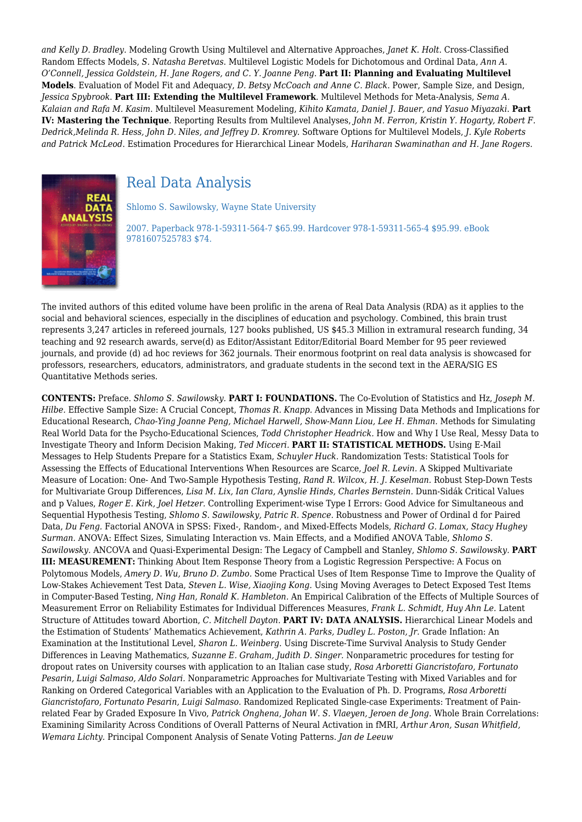*and Kelly D. Bradley*. Modeling Growth Using Multilevel and Alternative Approaches, *Janet K. Holt*. Cross-Classified Random Effects Models, *S. Natasha Beretvas*. Multilevel Logistic Models for Dichotomous and Ordinal Data, *Ann A. O'Connell, Jessica Goldstein, H. Jane Rogers, and C. Y. Joanne Peng*. **Part II: Planning and Evaluating Multilevel Models**. Evaluation of Model Fit and Adequacy, *D. Betsy McCoach and Anne C. Black*. Power, Sample Size, and Design, *Jessica Spybrook*. **Part III: Extending the Multilevel Framework**. Multilevel Methods for Meta-Analysis, *Sema A. Kalaian and Rafa M. Kasim*. Multilevel Measurement Modeling, *Kihito Kamata, Daniel J. Bauer, and Yasuo Miyazaki*. **Part IV: Mastering the Technique**. Reporting Results from Multilevel Analyses, *John M. Ferron, Kristin Y. Hogarty, Robert F. Dedrick,Melinda R. Hess, John D. Niles, and Jeffrey D. Kromrey*. Software Options for Multilevel Models, *J. Kyle Roberts and Patrick McLeod*. Estimation Procedures for Hierarchical Linear Models, *Hariharan Swaminathan and H. Jane Rogers*.



## Real Data Analysis

Shlomo S. Sawilowsky, Wayne State University

2007. Paperback 978-1-59311-564-7 \$65.99. Hardcover 978-1-59311-565-4 \$95.99. eBook 9781607525783 \$74.

The invited authors of this edited volume have been prolific in the arena of Real Data Analysis (RDA) as it applies to the social and behavioral sciences, especially in the disciplines of education and psychology. Combined, this brain trust represents 3,247 articles in refereed journals, 127 books published, US \$45.3 Million in extramural research funding, 34 teaching and 92 research awards, serve(d) as Editor/Assistant Editor/Editorial Board Member for 95 peer reviewed journals, and provide (d) ad hoc reviews for 362 journals. Their enormous footprint on real data analysis is showcased for professors, researchers, educators, administrators, and graduate students in the second text in the AERA/SIG ES Quantitative Methods series.

**CONTENTS:** Preface. *Shlomo S. Sawilowsky.* **PART I: FOUNDATIONS.** The Co-Evolution of Statistics and Hz, *Joseph M. Hilbe.* Effective Sample Size: A Crucial Concept, *Thomas R. Knapp.* Advances in Missing Data Methods and Implications for Educational Research, *Chao-Ying Joanne Peng, Michael Harwell, Show-Mann Liou, Lee H. Ehman.* Methods for Simulating Real World Data for the Psycho-Educational Sciences, *Todd Christopher Headrick.* How and Why I Use Real, Messy Data to Investigate Theory and Inform Decision Making, *Ted Micceri.* **PART II: STATISTICAL METHODS.** Using E-Mail Messages to Help Students Prepare for a Statistics Exam, *Schuyler Huck.* Randomization Tests: Statistical Tools for Assessing the Effects of Educational Interventions When Resources are Scarce, *Joel R. Levin.* A Skipped Multivariate Measure of Location: One- And Two-Sample Hypothesis Testing, *Rand R. Wilcox, H. J. Keselman.* Robust Step-Down Tests for Multivariate Group Differences, *Lisa M. Lix, Ian Clara, Aynslie Hinds, Charles Bernstein.* Dunn-Sidák Critical Values and p Values, *Roger E. Kirk, Joel Hetzer.* Controlling Experiment-wise Type I Errors: Good Advice for Simultaneous and Sequential Hypothesis Testing, *Shlomo S. Sawilowsky, Patric R. Spence.* Robustness and Power of Ordinal d for Paired Data, *Du Feng.* Factorial ANOVA in SPSS: Fixed-, Random-, and Mixed-Effects Models, *Richard G. Lomax, Stacy Hughey Surman.* ANOVA: Effect Sizes, Simulating Interaction vs. Main Effects, and a Modified ANOVA Table, *Shlomo S. Sawilowsky.* ANCOVA and Quasi-Experimental Design: The Legacy of Campbell and Stanley, *Shlomo S. Sawilowsky.* **PART III: MEASUREMENT:** Thinking About Item Response Theory from a Logistic Regression Perspective: A Focus on Polytomous Models, *Amery D. Wu, Bruno D. Zumbo.* Some Practical Uses of Item Response Time to Improve the Quality of Low-Stakes Achievement Test Data, *Steven L. Wise, Xiaojing Kong.* Using Moving Averages to Detect Exposed Test Items in Computer-Based Testing, *Ning Han, Ronald K. Hambleton.* An Empirical Calibration of the Effects of Multiple Sources of Measurement Error on Reliability Estimates for Individual Differences Measures, *Frank L. Schmidt, Huy Ahn Le.* Latent Structure of Attitudes toward Abortion, *C. Mitchell Dayton.* **PART IV: DATA ANALYSIS.** Hierarchical Linear Models and the Estimation of Students' Mathematics Achievement, *Kathrin A. Parks, Dudley L. Poston, Jr.* Grade Inflation: An Examination at the Institutional Level, *Sharon L. Weinberg.* Using Discrete-Time Survival Analysis to Study Gender Differences in Leaving Mathematics, *Suzanne E. Graham, Judith D. Singer.* Nonparametric procedures for testing for dropout rates on University courses with application to an Italian case study, *Rosa Arboretti Giancristofaro, Fortunato Pesarin, Luigi Salmaso, Aldo Solari.* Nonparametric Approaches for Multivariate Testing with Mixed Variables and for Ranking on Ordered Categorical Variables with an Application to the Evaluation of Ph. D. Programs, *Rosa Arboretti Giancristofaro, Fortunato Pesarin, Luigi Salmaso.* Randomized Replicated Single-case Experiments: Treatment of Painrelated Fear by Graded Exposure In Vivo, *Patrick Onghena, Johan W. S. Vlaeyen, Jeroen de Jong.* Whole Brain Correlations: Examining Similarity Across Conditions of Overall Patterns of Neural Activation in fMRI, *Arthur Aron, Susan Whitfield, Wemara Lichty.* Principal Component Analysis of Senate Voting Patterns. *Jan de Leeuw*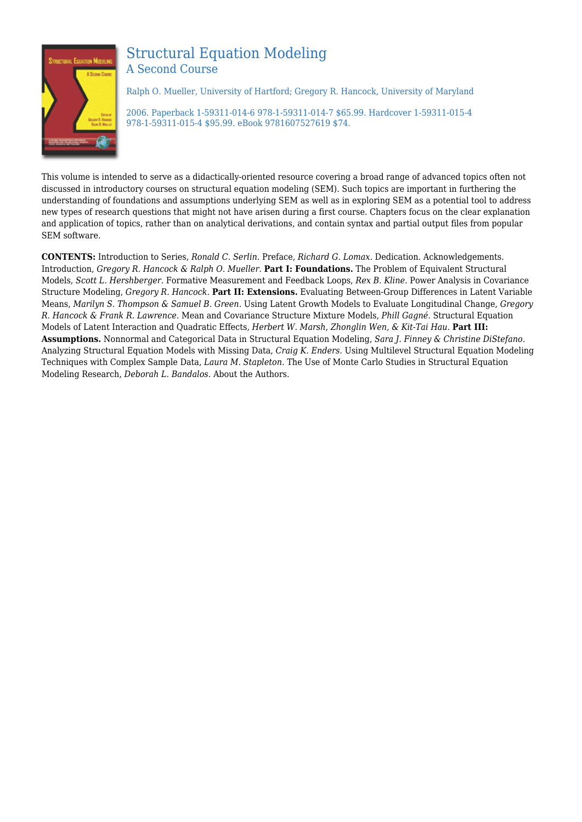

#### Structural Equation Modeling A Second Course

Ralph O. Mueller, University of Hartford; Gregory R. Hancock, University of Maryland

2006. Paperback 1-59311-014-6 978-1-59311-014-7 \$65.99. Hardcover 1-59311-015-4 978-1-59311-015-4 \$95.99. eBook 9781607527619 \$74.

This volume is intended to serve as a didactically-oriented resource covering a broad range of advanced topics often not discussed in introductory courses on structural equation modeling (SEM). Such topics are important in furthering the understanding of foundations and assumptions underlying SEM as well as in exploring SEM as a potential tool to address new types of research questions that might not have arisen during a first course. Chapters focus on the clear explanation and application of topics, rather than on analytical derivations, and contain syntax and partial output files from popular SEM software.

**CONTENTS:** Introduction to Series, *Ronald C. Serlin.* Preface, *Richard G. Lomax.* Dedication. Acknowledgements. Introduction, *Gregory R. Hancock & Ralph O. Mueller.* **Part I: Foundations.** The Problem of Equivalent Structural Models, *Scott L. Hershberger.* Formative Measurement and Feedback Loops, *Rex B. Kline.* Power Analysis in Covariance Structure Modeling, *Gregory R. Hancock.* **Part II: Extensions.** Evaluating Between-Group Differences in Latent Variable Means, *Marilyn S. Thompson & Samuel B. Green.* Using Latent Growth Models to Evaluate Longitudinal Change, *Gregory R. Hancock & Frank R. Lawrence.* Mean and Covariance Structure Mixture Models, *Phill Gagné.* Structural Equation Models of Latent Interaction and Quadratic Effects, *Herbert W. Marsh, Zhonglin Wen, & Kit-Tai Hau.* **Part III: Assumptions.** Nonnormal and Categorical Data in Structural Equation Modeling, *Sara J. Finney & Christine DiStefano.* Analyzing Structural Equation Models with Missing Data, *Craig K. Enders.* Using Multilevel Structural Equation Modeling Techniques with Complex Sample Data, *Laura M. Stapleton.* The Use of Monte Carlo Studies in Structural Equation Modeling Research, *Deborah L. Bandalos.* About the Authors.